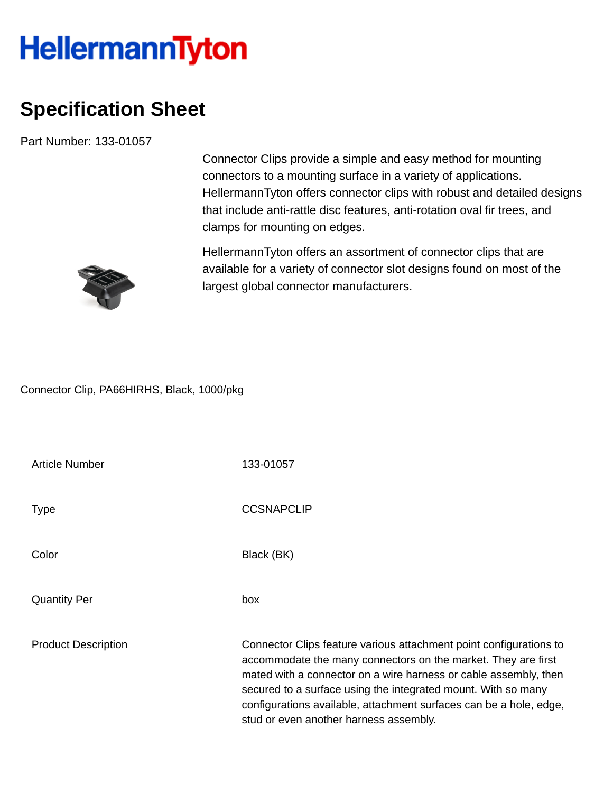## **HellermannTyton**

## **Specification Sheet**

Part Number: 133-01057

Connector Clips provide a simple and easy method for mounting connectors to a mounting surface in a variety of applications. HellermannTyton offers connector clips with robust and detailed designs that include anti-rattle disc features, anti-rotation oval fir trees, and clamps for mounting on edges.

HellermannTyton offers an assortment of connector clips that are available for a variety of connector slot designs found on most of the largest global connector manufacturers.

Connector Clip, PA66HIRHS, Black, 1000/pkg

| Article Number             | 133-01057                                                                                                                                                                                                                                                                                                                                                                                |
|----------------------------|------------------------------------------------------------------------------------------------------------------------------------------------------------------------------------------------------------------------------------------------------------------------------------------------------------------------------------------------------------------------------------------|
| Type                       | <b>CCSNAPCLIP</b>                                                                                                                                                                                                                                                                                                                                                                        |
| Color                      | Black (BK)                                                                                                                                                                                                                                                                                                                                                                               |
| <b>Quantity Per</b>        | box                                                                                                                                                                                                                                                                                                                                                                                      |
| <b>Product Description</b> | Connector Clips feature various attachment point configurations to<br>accommodate the many connectors on the market. They are first<br>mated with a connector on a wire harness or cable assembly, then<br>secured to a surface using the integrated mount. With so many<br>configurations available, attachment surfaces can be a hole, edge,<br>stud or even another harness assembly. |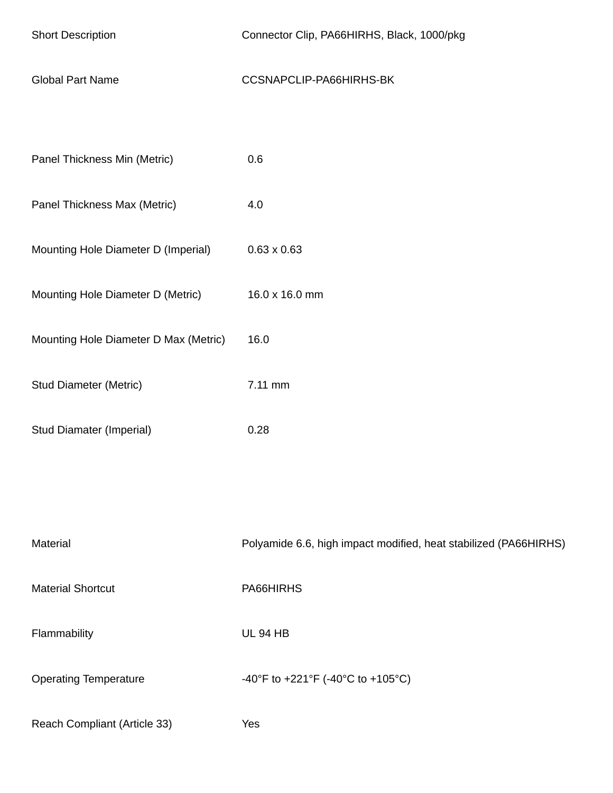| <b>Short Description</b>              | Connector Clip, PA66HIRHS, Black, 1000/pkg                       |
|---------------------------------------|------------------------------------------------------------------|
| <b>Global Part Name</b>               | CCSNAPCLIP-PA66HIRHS-BK                                          |
|                                       |                                                                  |
| Panel Thickness Min (Metric)          | 0.6                                                              |
| Panel Thickness Max (Metric)          | 4.0                                                              |
| Mounting Hole Diameter D (Imperial)   | $0.63 \times 0.63$                                               |
| Mounting Hole Diameter D (Metric)     | 16.0 x 16.0 mm                                                   |
| Mounting Hole Diameter D Max (Metric) | 16.0                                                             |
| <b>Stud Diameter (Metric)</b>         | 7.11 mm                                                          |
| Stud Diamater (Imperial)              | 0.28                                                             |
|                                       |                                                                  |
|                                       |                                                                  |
| Material                              | Polyamide 6.6, high impact modified, heat stabilized (PA66HIRHS) |
| <b>Material Shortcut</b>              | PA66HIRHS                                                        |
| Flammability                          | <b>UL 94 HB</b>                                                  |
| <b>Operating Temperature</b>          | -40°F to +221°F (-40°C to +105°C)                                |
| Reach Compliant (Article 33)          | Yes                                                              |